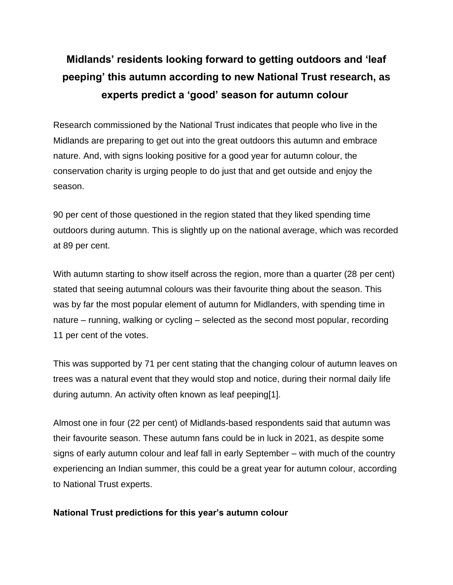# **Midlands' residents looking forward to getting outdoors and 'leaf peeping' this autumn according to new National Trust research, as experts predict a 'good' season for autumn colour**

Research commissioned by the National Trust indicates that people who live in the Midlands are preparing to get out into the great outdoors this autumn and embrace nature. And, with signs looking positive for a good year for autumn colour, the conservation charity is urging people to do just that and get outside and enjoy the season.

90 per cent of those questioned in the region stated that they liked spending time outdoors during autumn. This is slightly up on the national average, which was recorded at 89 per cent.

With autumn starting to show itself across the region, more than a quarter (28 per cent) stated that seeing autumnal colours was their favourite thing about the season. This was by far the most popular element of autumn for Midlanders, with spending time in nature – running, walking or cycling – selected as the second most popular, recording 11 per cent of the votes.

This was supported by 71 per cent stating that the changing colour of autumn leaves on trees was a natural event that they would stop and notice, during their normal daily life during autumn. An activity often known as leaf peeping[1].

Almost one in four (22 per cent) of Midlands-based respondents said that autumn was their favourite season. These autumn fans could be in luck in 2021, as despite some signs of early autumn colour and leaf fall in early September – with much of the country experiencing an Indian summer, this could be a great year for autumn colour, according to National Trust experts.

#### **National Trust predictions for this year's autumn colour**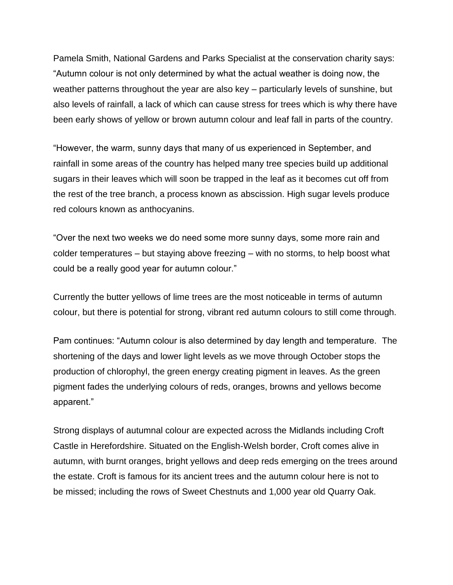Pamela Smith, National Gardens and Parks Specialist at the conservation charity says: "Autumn colour is not only determined by what the actual weather is doing now, the weather patterns throughout the year are also key – particularly levels of sunshine, but also levels of rainfall, a lack of which can cause stress for trees which is why there have been early shows of yellow or brown autumn colour and leaf fall in parts of the country.

"However, the warm, sunny days that many of us experienced in September, and rainfall in some areas of the country has helped many tree species build up additional sugars in their leaves which will soon be trapped in the leaf as it becomes cut off from the rest of the tree branch, a process known as abscission. High sugar levels produce red colours known as anthocyanins.

"Over the next two weeks we do need some more sunny days, some more rain and colder temperatures – but staying above freezing – with no storms, to help boost what could be a really good year for autumn colour."

Currently the butter yellows of lime trees are the most noticeable in terms of autumn colour, but there is potential for strong, vibrant red autumn colours to still come through.

Pam continues: "Autumn colour is also determined by day length and temperature. The shortening of the days and lower light levels as we move through October stops the production of chlorophyl, the green energy creating pigment in leaves. As the green pigment fades the underlying colours of reds, oranges, browns and yellows become apparent."

Strong displays of autumnal colour are expected across the Midlands including Croft Castle in Herefordshire. Situated on the English-Welsh border, Croft comes alive in autumn, with burnt oranges, bright yellows and deep reds emerging on the trees around the estate. Croft is famous for its ancient trees and the autumn colour here is not to be missed; including the rows of Sweet Chestnuts and 1,000 year old Quarry Oak.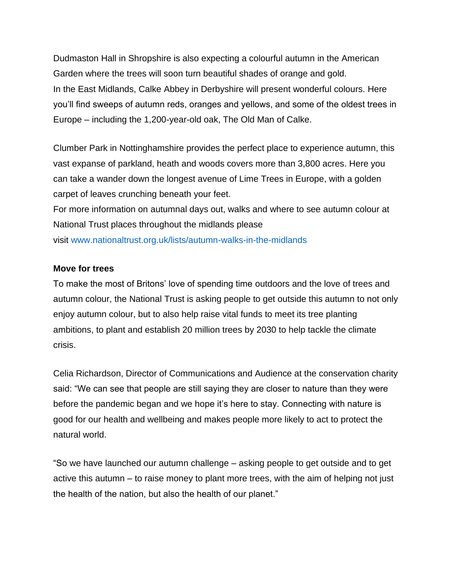Dudmaston Hall in Shropshire is also expecting a colourful autumn in the American Garden where the trees will soon turn beautiful shades of orange and gold. In the East Midlands, Calke Abbey in Derbyshire will present wonderful colours. Here you'll find sweeps of autumn reds, oranges and yellows, and some of the oldest trees in Europe – including the 1,200-year-old oak, The Old Man of Calke.

Clumber Park in Nottinghamshire provides the perfect place to experience autumn, this vast expanse of parkland, heath and woods covers more than 3,800 acres. Here you can take a wander down the longest avenue of Lime Trees in Europe, with a golden carpet of leaves crunching beneath your feet.

For more information on autumnal days out, walks and where to see autumn colour at National Trust places throughout the midlands please

visit [www.nationaltrust.org.uk/lists/autumn-walks-in-the-midlands](https://eur01.safelinks.protection.outlook.com/?url=http%3A%2F%2Fwww.nationaltrust.org.uk%2Flists%2Fautumn-walks-in-the-midlands&data=04%7C01%7Calexandra.dixon%40nationaltrust.org.uk%7C28d7dbe56e56471b51b508d983eae49c%7C0fba79b96423460d88eff9c3d4ca2e9f%7C0%7C0%7C637685867153600678%7CUnknown%7CTWFpbGZsb3d8eyJWIjoiMC4wLjAwMDAiLCJQIjoiV2luMzIiLCJBTiI6Ik1haWwiLCJXVCI6Mn0%3D%7C1000&sdata=pPAQjocCNAT0q5kQqotHaCh4WG%2F7ocHROz11k5eSO7o%3D&reserved=0)

### **Move for trees**

To make the most of Britons' love of spending time outdoors and the love of trees and autumn colour, the National Trust is asking people to get outside this autumn to not only enjoy autumn colour, but to also help raise vital funds to meet its tree planting ambitions, to plant and establish 20 million trees by 2030 to help tackle the climate crisis.

Celia Richardson, Director of Communications and Audience at the conservation charity said: "We can see that people are still saying they are closer to nature than they were before the pandemic began and we hope it's here to stay. Connecting with nature is good for our health and wellbeing and makes people more likely to act to protect the natural world.

"So we have launched our autumn challenge – asking people to get outside and to get active this autumn – to raise money to plant more trees, with the aim of helping not just the health of the nation, but also the health of our planet."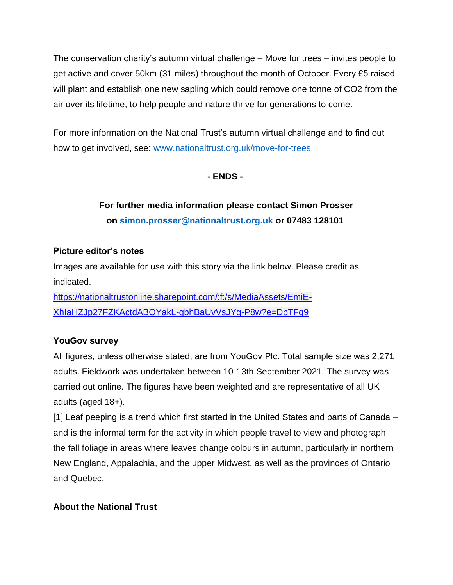The conservation charity's autumn virtual challenge – Move for trees – invites people to get active and cover 50km (31 miles) throughout the month of October. Every £5 raised will plant and establish one new sapling which could remove one tonne of CO2 from the air over its lifetime, to help people and nature thrive for generations to come.

For more information on the National Trust's autumn virtual challenge and to find out how to get involved, see: [www.nationaltrust.org.uk/move-for-trees](https://eur01.safelinks.protection.outlook.com/?url=http%3A%2F%2Fwww.nationaltrust.org.uk%2Fmove-for-trees&data=04%7C01%7Calexandra.dixon%40nationaltrust.org.uk%7C28d7dbe56e56471b51b508d983eae49c%7C0fba79b96423460d88eff9c3d4ca2e9f%7C0%7C0%7C637685867153610620%7CUnknown%7CTWFpbGZsb3d8eyJWIjoiMC4wLjAwMDAiLCJQIjoiV2luMzIiLCJBTiI6Ik1haWwiLCJXVCI6Mn0%3D%7C1000&sdata=9PvatCnyRQF64h4GGOSfjBDU7YMaFmJPj57igV5PGrQ%3D&reserved=0)

### **- ENDS -**

# **For further media information please contact Simon Prosser on [simon.prosser@nationaltrust.org.uk](mailto:simon.prosser@nationaltrust.org.uk) or 07483 128101**

### **Picture editor's notes**

Images are available for use with this story via the link below. Please credit as indicated.

[https://nationaltrustonline.sharepoint.com/:f:/s/MediaAssets/EmiE-](https://eur01.safelinks.protection.outlook.com/?url=https%3A%2F%2Fnationaltrustonline.sharepoint.com%2F%3Af%3A%2Fs%2FMediaAssets%2FEmiE-XhIaHZJp27FZKActdABOYakL-qbhBaUvVsJYg-P8w&data=04%7C01%7Calexandra.dixon%40nationaltrust.org.uk%7C28d7dbe56e56471b51b508d983eae49c%7C0fba79b96423460d88eff9c3d4ca2e9f%7C0%7C0%7C637685867153610620%7CUnknown%7CTWFpbGZsb3d8eyJWIjoiMC4wLjAwMDAiLCJQIjoiV2luMzIiLCJBTiI6Ik1haWwiLCJXVCI6Mn0%3D%7C1000&sdata=kL2knpBY2QHg0EDzZm3hgzt3V6lt6kloU5cGfoVlbUk%3D&reserved=0)[XhIaHZJp27FZKActdABOYakL-qbhBaUvVsJYg-P8w?e=DbTFq9](https://eur01.safelinks.protection.outlook.com/?url=https%3A%2F%2Fnationaltrustonline.sharepoint.com%2F%3Af%3A%2Fs%2FMediaAssets%2FEmiE-XhIaHZJp27FZKActdABOYakL-qbhBaUvVsJYg-P8w&data=04%7C01%7Calexandra.dixon%40nationaltrust.org.uk%7C28d7dbe56e56471b51b508d983eae49c%7C0fba79b96423460d88eff9c3d4ca2e9f%7C0%7C0%7C637685867153610620%7CUnknown%7CTWFpbGZsb3d8eyJWIjoiMC4wLjAwMDAiLCJQIjoiV2luMzIiLCJBTiI6Ik1haWwiLCJXVCI6Mn0%3D%7C1000&sdata=kL2knpBY2QHg0EDzZm3hgzt3V6lt6kloU5cGfoVlbUk%3D&reserved=0)

### **YouGov survey**

All figures, unless otherwise stated, are from YouGov Plc. Total sample size was 2,271 adults. Fieldwork was undertaken between 10-13th September 2021. The survey was carried out online. The figures have been weighted and are representative of all UK adults (aged 18+).

[1] Leaf peeping is a trend which first started in the United States and parts of Canada – and is the informal term for the activity in which people travel to view and photograph the fall foliage in areas where leaves change colours in autumn, particularly in northern New England, Appalachia, and the upper Midwest, as well as the provinces of Ontario and Quebec.

## **About the National Trust**